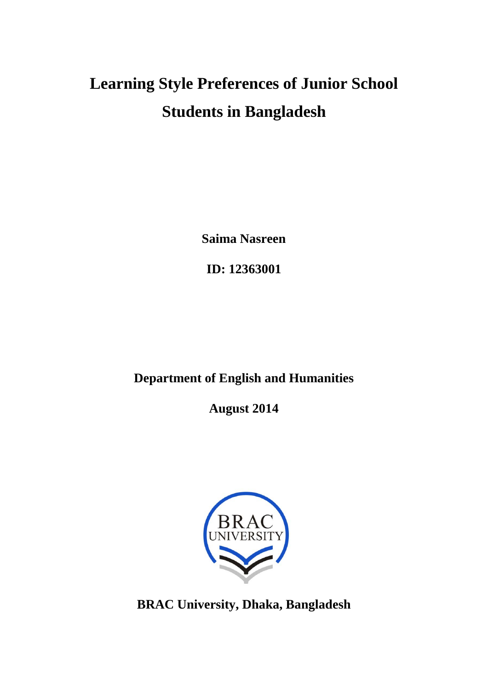# **Learning Style Preferences of Junior School Students in Bangladesh**

**Saima Nasreen**

**ID: 12363001**

# **Department of English and Humanities**

**August 2014**



**BRAC University, Dhaka, Bangladesh**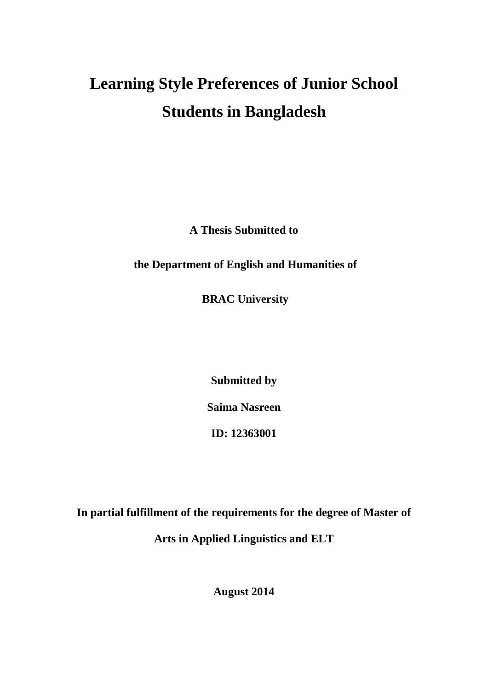# **Learning Style Preferences of Junior School Students in Bangladesh**

**A Thesis Submitted to**

**the Department of English and Humanities of**

**BRAC University**

**Submitted by Saima Nasreen**

**ID: 12363001**

**In partial fulfillment of the requirements for the degree of Master of Arts in Applied Linguistics and ELT**

**August 2014**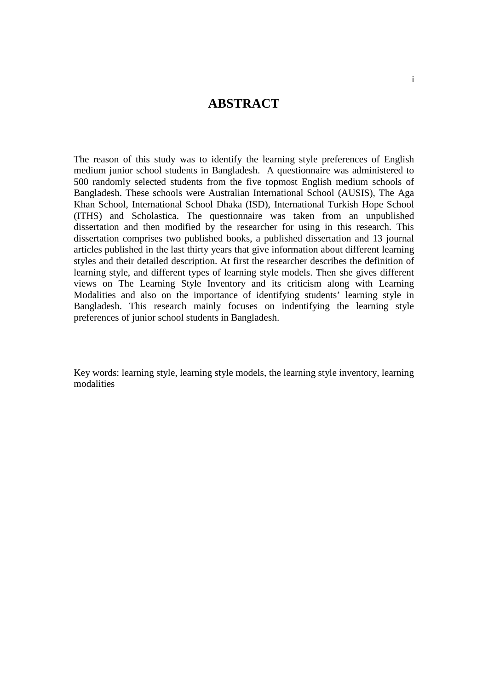### **ABSTRACT**

The reason of this study was to identify the learning style preferences of English medium junior school students in Bangladesh. A questionnaire was administered to 500 randomly selected students from the five topmost English medium schools of Bangladesh. These schools were Australian International School (AUSIS), The Aga Khan School, International School Dhaka (ISD), International Turkish Hope School (ITHS) and Scholastica. The questionnaire was taken from an unpublished dissertation and then modified by the researcher for using in this research. This dissertation comprises two published books, a published dissertation and 13 journal articles published in the last thirty years that give information about different learning styles and their detailed description. At first the researcher describes the definition of learning style, and different types of learning style models. Then she gives different views on The Learning Style Inventory and its criticism along with Learning Modalities and also on the importance of identifying students' learning style in Bangladesh. This research mainly focuses on indentifying the learning style preferences of junior school students in Bangladesh.

Key words: learning style, learning style models, the learning style inventory, learning modalities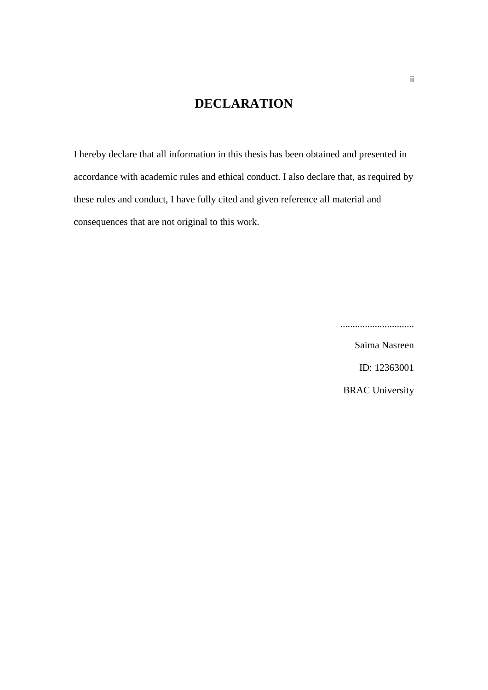# **DECLARATION**

I hereby declare that all information in this thesis has been obtained and presented in accordance with academic rules and ethical conduct. I also declare that, as required by these rules and conduct, I have fully cited and given reference all material and consequences that are not original to this work.

..............................

Saima Nasreen

ID: 12363001

BRAC University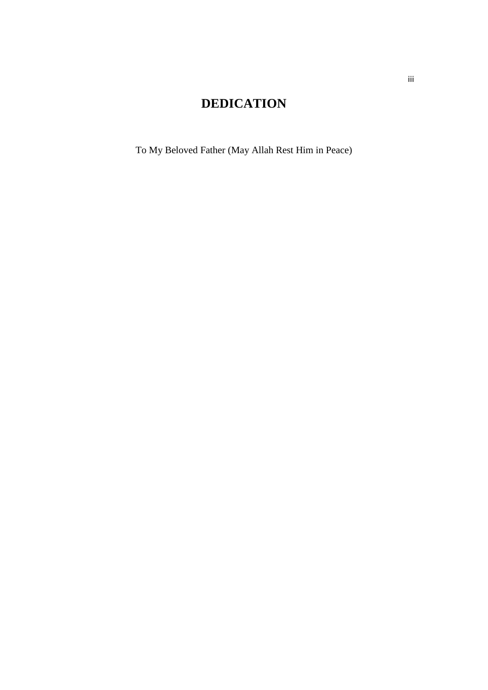# **DEDICATION**

To My Beloved Father (May Allah Rest Him in Peace)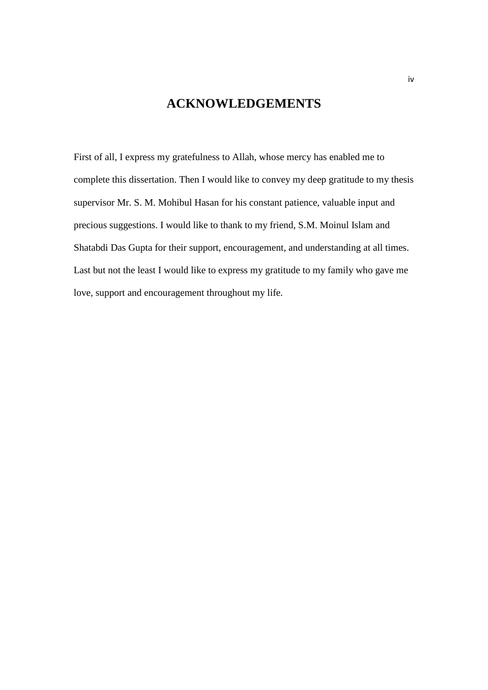## **ACKNOWLEDGEMENTS**

First of all, I express my gratefulness to Allah, whose mercy has enabled me to complete this dissertation. Then I would like to convey my deep gratitude to my thesis supervisor Mr. S. M. Mohibul Hasan for his constant patience, valuable input and precious suggestions. I would like to thank to my friend, S.M. Moinul Islam and Shatabdi Das Gupta for their support, encouragement, and understanding at all times. Last but not the least I would like to express my gratitude to my family who gave me love, support and encouragement throughout my life.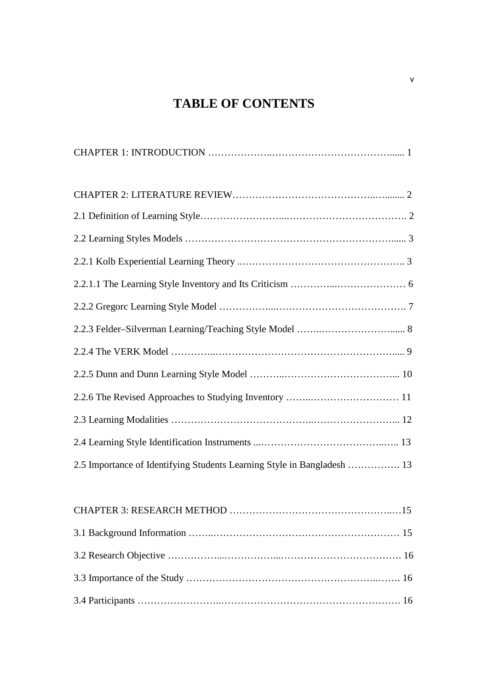# **TABLE OF CONTENTS**

| 2.5 Importance of Identifying Students Learning Style in Bangladesh  13 |
|-------------------------------------------------------------------------|
|                                                                         |
|                                                                         |
|                                                                         |
|                                                                         |
|                                                                         |
|                                                                         |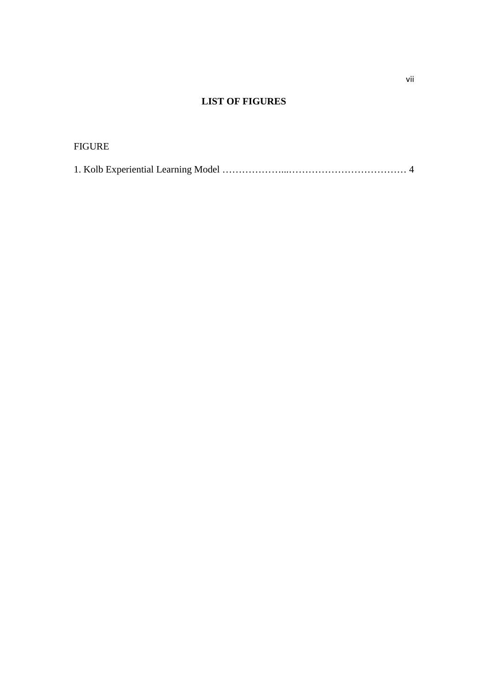# **LIST OF FIGURES**

#### FIGURE

|--|--|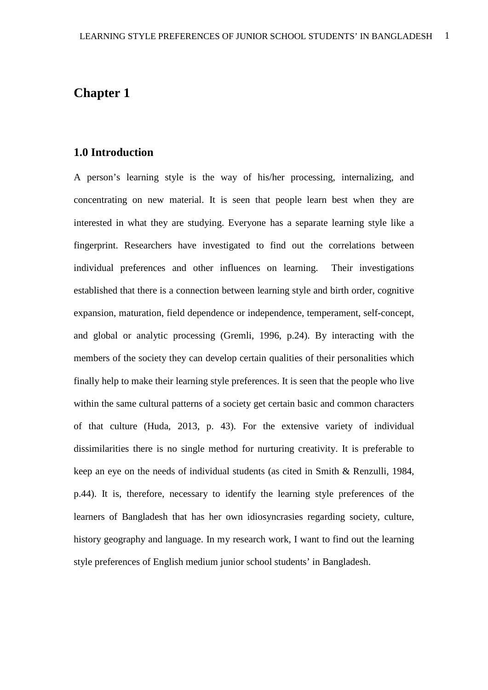# **Chapter 1**

#### **1.0 Introduction**

A person's learning style is the way of his/her processing, internalizing, and concentrating on new material. It is seen that people learn best when they are interested in what they are studying. Everyone has a separate learning style like a fingerprint. Researchers have investigated to find out the correlations between individual preferences and other influences on learning. Their investigations established that there is a connection between learning style and birth order, cognitive expansion, maturation, field dependence or independence, temperament, self-concept, and global or analytic processing (Gremli, 1996, p.24). By interacting with the members of the society they can develop certain qualities of their personalities which finally help to make their learning style preferences. It is seen that the people who live within the same cultural patterns of a society get certain basic and common characters of that culture (Huda, 2013, p. 43). For the extensive variety of individual dissimilarities there is no single method for nurturing creativity. It is preferable to keep an eye on the needs of individual students (as cited in Smith & Renzulli, 1984, p.44). It is, therefore, necessary to identify the learning style preferences of the learners of Bangladesh that has her own idiosyncrasies regarding society, culture, history geography and language. In my research work, I want to find out the learning style preferences of English medium junior school students' in Bangladesh.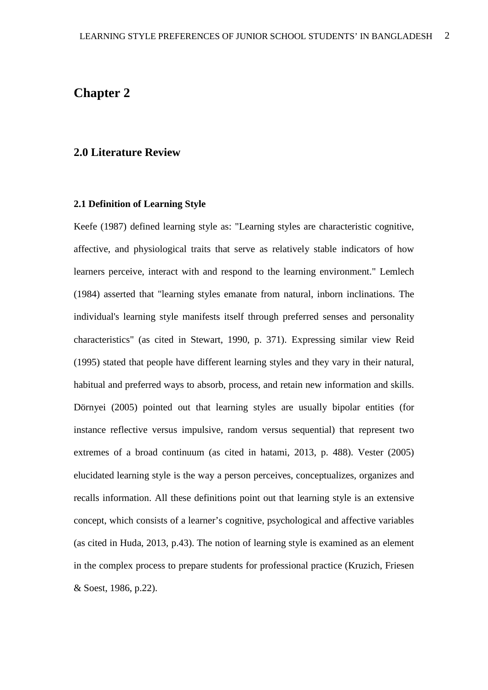# **Chapter 2**

#### **2.0 Literature Review**

#### **2.1 Definition of Learning Style**

Keefe (1987) defined learning style as: "Learning styles are characteristic cognitive, affective, and physiological traits that serve as relatively stable indicators of how learners perceive, interact with and respond to the learning environment." Lemlech (1984) asserted that "learning styles emanate from natural, inborn inclinations. The individual's learning style manifests itself through preferred senses and personality characteristics" (as cited in Stewart, 1990, p. 371). Expressing similar view Reid (1995) stated that people have different learning styles and they vary in their natural, habitual and preferred ways to absorb, process, and retain new information and skills. Dörnyei (2005) pointed out that learning styles are usually bipolar entities (for instance reflective versus impulsive, random versus sequential) that represent two extremes of a broad continuum (as cited in hatami, 2013, p. 488). Vester (2005) elucidated learning style is the way a person perceives, conceptualizes, organizes and recalls information. All these definitions point out that learning style is an extensive concept, which consists of a learner's cognitive, psychological and affective variables (as cited in Huda, 2013, p.43). The notion of learning style is examined as an element in the complex process to prepare students for professional practice (Kruzich, Friesen & Soest, 1986, p.22).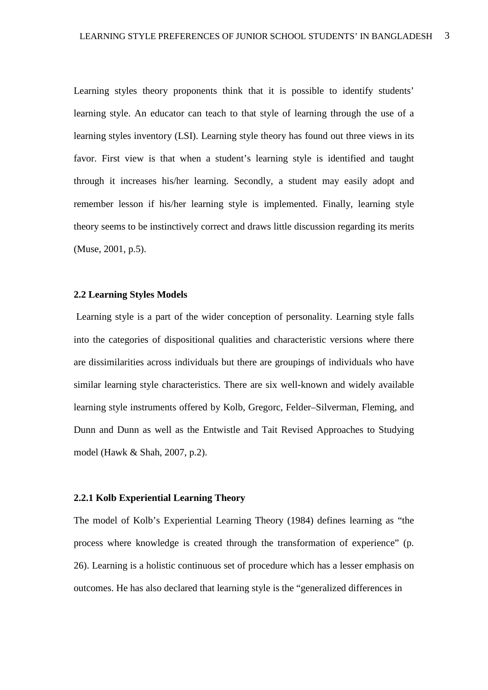Learning styles theory proponents think that it is possible to identify students' learning style. An educator can teach to that style of learning through the use of a learning styles inventory (LSI). Learning style theory has found out three views in its favor. First view is that when a student's learning style is identified and taught through it increases his/her learning. Secondly, a student may easily adopt and remember lesson if his/her learning style is implemented. Finally, learning style theory seems to be instinctively correct and draws little discussion regarding its merits (Muse, 2001, p.5).

#### **2.2 Learning Styles Models**

Learning style is a part of the wider conception of personality. Learning style falls into the categories of dispositional qualities and characteristic versions where there are dissimilarities across individuals but there are groupings of individuals who have similar learning style characteristics. There are six well-known and widely available learning style instruments offered by Kolb, Gregorc, Felder–Silverman, Fleming, and Dunn and Dunn as well as the Entwistle and Tait Revised Approaches to Studying model (Hawk & Shah, 2007, p.2).

#### **2.2.1 Kolb Experiential Learning Theory**

The model of Kolb's Experiential Learning Theory (1984) defines learning as "the process where knowledge is created through the transformation of experience" (p. 26). Learning is a holistic continuous set of procedure which has a lesser emphasis on outcomes. He has also declared that learning style is the "generalized differences in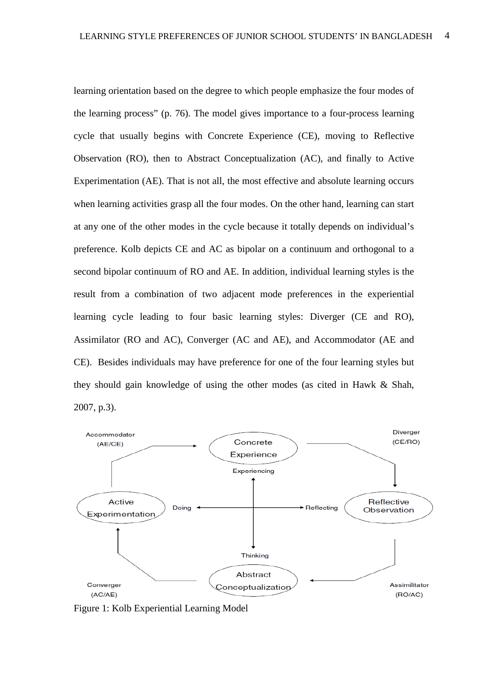learning orientation based on the degree to which people emphasize the four modes of the learning process" (p. 76). The model gives importance to a four-process learning cycle that usually begins with Concrete Experience (CE), moving to Reflective Observation (RO), then to Abstract Conceptualization (AC), and finally to Active Experimentation (AE). That is not all, the most effective and absolute learning occurs when learning activities grasp all the four modes. On the other hand, learning can start at any one of the other modes in the cycle because it totally depends on individual's preference. Kolb depicts CE and AC as bipolar on a continuum and orthogonal to a second bipolar continuum of RO and AE. In addition, individual learning styles is the result from a combination of two adjacent mode preferences in the experiential learning cycle leading to four basic learning styles: Diverger (CE and RO), Assimilator (RO and AC), Converger (AC and AE), and Accommodator (AE and CE). Besides individuals may have preference for one of the four learning styles but they should gain knowledge of using the other modes (as cited in Hawk & Shah, 2007, p.3).



Figure 1: Kolb Experiential Learning Model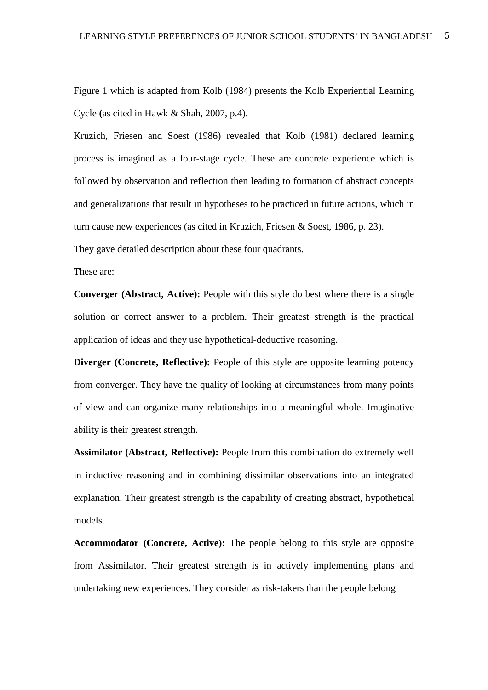Figure 1 which is adapted from Kolb (1984) presents the Kolb Experiential Learning Cycle **(**as cited in Hawk & Shah, 2007, p.4).

Kruzich, Friesen and Soest (1986) revealed that Kolb (1981) declared learning process is imagined as a four-stage cycle. These are concrete experience which is followed by observation and reflection then leading to formation of abstract concepts and generalizations that result in hypotheses to be practiced in future actions, which in turn cause new experiences (as cited in Kruzich, Friesen & Soest, 1986, p. 23).

They gave detailed description about these four quadrants.

These are:

**Converger (Abstract, Active):** People with this style do best where there is a single solution or correct answer to a problem. Their greatest strength is the practical application of ideas and they use hypothetical-deductive reasoning.

**Diverger (Concrete, Reflective):** People of this style are opposite learning potency from converger. They have the quality of looking at circumstances from many points of view and can organize many relationships into a meaningful whole. Imaginative ability is their greatest strength.

**Assimilator (Abstract, Reflective):** People from this combination do extremely well in inductive reasoning and in combining dissimilar observations into an integrated explanation. Their greatest strength is the capability of creating abstract, hypothetical models.

**Accommodator (Concrete, Active):** The people belong to this style are opposite from Assimilator. Their greatest strength is in actively implementing plans and undertaking new experiences. They consider as risk-takers than the people belong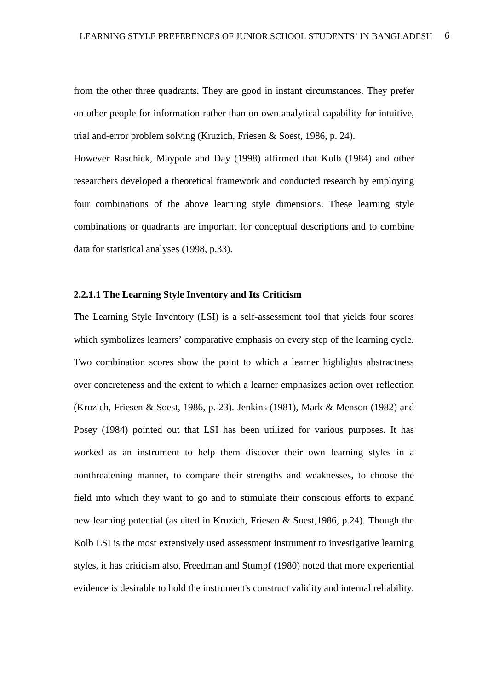from the other three quadrants. They are good in instant circumstances. They prefer on other people for information rather than on own analytical capability for intuitive, trial and-error problem solving (Kruzich, Friesen & Soest, 1986, p. 24).

However Raschick, Maypole and Day (1998) affirmed that Kolb (1984) and other researchers developed a theoretical framework and conducted research by employing four combinations of the above learning style dimensions. These learning style combinations or quadrants are important for conceptual descriptions and to combine data for statistical analyses (1998, p.33).

#### **2.2.1.1 The Learning Style Inventory and Its Criticism**

The Learning Style Inventory (LSI) is a self-assessment tool that yields four scores which symbolizes learners' comparative emphasis on every step of the learning cycle. Two combination scores show the point to which a learner highlights abstractness over concreteness and the extent to which a learner emphasizes action over reflection (Kruzich, Friesen & Soest, 1986, p. 23). Jenkins (1981), Mark & Menson (1982) and Posey (1984) pointed out that LSI has been utilized for various purposes. It has worked as an instrument to help them discover their own learning styles in a nonthreatening manner, to compare their strengths and weaknesses, to choose the field into which they want to go and to stimulate their conscious efforts to expand new learning potential (as cited in Kruzich, Friesen & Soest,1986, p.24). Though the Kolb LSI is the most extensively used assessment instrument to investigative learning styles, it has criticism also. Freedman and Stumpf (1980) noted that more experiential evidence is desirable to hold the instrument's construct validity and internal reliability.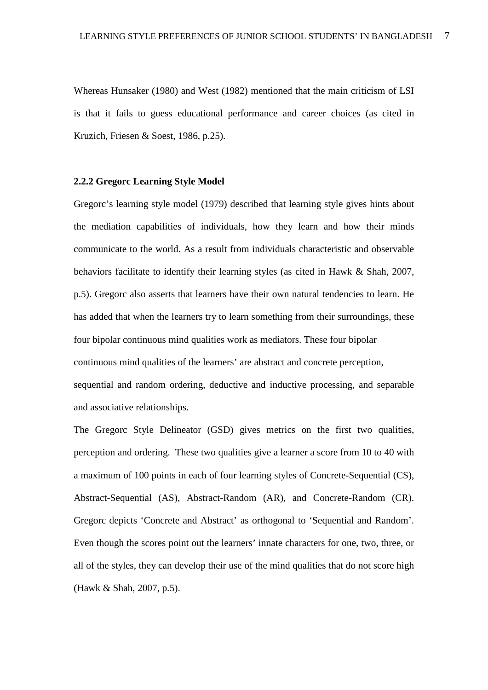Whereas Hunsaker (1980) and West (1982) mentioned that the main criticism of LSI is that it fails to guess educational performance and career choices (as cited in Kruzich, Friesen & Soest, 1986, p.25).

#### **2.2.2 Gregorc Learning Style Model**

Gregorc's learning style model (1979) described that learning style gives hints about the mediation capabilities of individuals, how they learn and how their minds communicate to the world. As a result from individuals characteristic and observable behaviors facilitate to identify their learning styles (as cited in Hawk & Shah, 2007, p.5). Gregorc also asserts that learners have their own natural tendencies to learn. He has added that when the learners try to learn something from their surroundings, these four bipolar continuous mind qualities work as mediators. These four bipolar continuous mind qualities of the learners' are abstract and concrete perception, sequential and random ordering, deductive and inductive processing, and separable and associative relationships.

The Gregorc Style Delineator (GSD) gives metrics on the first two qualities, perception and ordering. These two qualities give a learner a score from 10 to 40 with a maximum of 100 points in each of four learning styles of Concrete-Sequential (CS), Abstract-Sequential (AS), Abstract-Random (AR), and Concrete-Random (CR). Gregorc depicts 'Concrete and Abstract' as orthogonal to 'Sequential and Random'. Even though the scores point out the learners' innate characters for one, two, three, or all of the styles, they can develop their use of the mind qualities that do not score high (Hawk & Shah, 2007, p.5).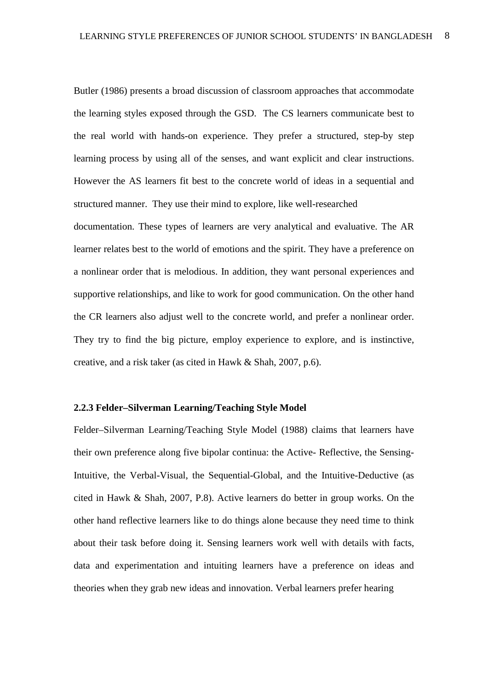Butler (1986) presents a broad discussion of classroom approaches that accommodate the learning styles exposed through the GSD. The CS learners communicate best to the real world with hands-on experience. They prefer a structured, step-by step learning process by using all of the senses, and want explicit and clear instructions. However the AS learners fit best to the concrete world of ideas in a sequential and structured manner. They use their mind to explore, like well-researched documentation. These types of learners are very analytical and evaluative. The AR learner relates best to the world of emotions and the spirit. They have a preference on a nonlinear order that is melodious. In addition, they want personal experiences and supportive relationships, and like to work for good communication. On the other hand the CR learners also adjust well to the concrete world, and prefer a nonlinear order. They try to find the big picture, employ experience to explore, and is instinctive, creative, and a risk taker (as cited in Hawk & Shah, 2007, p.6).

#### **2.2.3 Felder–Silverman Learning/Teaching Style Model**

Felder–Silverman Learning/Teaching Style Model (1988) claims that learners have their own preference along five bipolar continua: the Active- Reflective, the Sensing-Intuitive, the Verbal-Visual, the Sequential-Global, and the Intuitive-Deductive (as cited in Hawk & Shah, 2007, P.8). Active learners do better in group works. On the other hand reflective learners like to do things alone because they need time to think about their task before doing it. Sensing learners work well with details with facts, data and experimentation and intuiting learners have a preference on ideas and theories when they grab new ideas and innovation. Verbal learners prefer hearing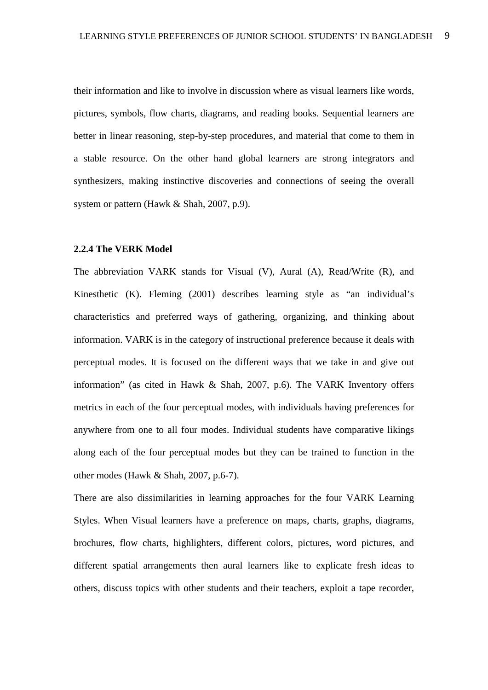their information and like to involve in discussion where as visual learners like words, pictures, symbols, flow charts, diagrams, and reading books. Sequential learners are better in linear reasoning, step-by-step procedures, and material that come to them in a stable resource. On the other hand global learners are strong integrators and synthesizers, making instinctive discoveries and connections of seeing the overall system or pattern (Hawk & Shah, 2007, p.9).

#### **2.2.4 The VERK Model**

The abbreviation VARK stands for Visual (V), Aural (A), Read/Write (R), and Kinesthetic (K). Fleming (2001) describes learning style as "an individual's characteristics and preferred ways of gathering, organizing, and thinking about information. VARK is in the category of instructional preference because it deals with perceptual modes. It is focused on the different ways that we take in and give out information" (as cited in Hawk & Shah, 2007, p.6). The VARK Inventory offers metrics in each of the four perceptual modes, with individuals having preferences for anywhere from one to all four modes. Individual students have comparative likings along each of the four perceptual modes but they can be trained to function in the other modes (Hawk & Shah, 2007, p.6-7).

There are also dissimilarities in learning approaches for the four VARK Learning Styles. When Visual learners have a preference on maps, charts, graphs, diagrams, brochures, flow charts, highlighters, different colors, pictures, word pictures, and different spatial arrangements then aural learners like to explicate fresh ideas to others, discuss topics with other students and their teachers, exploit a tape recorder,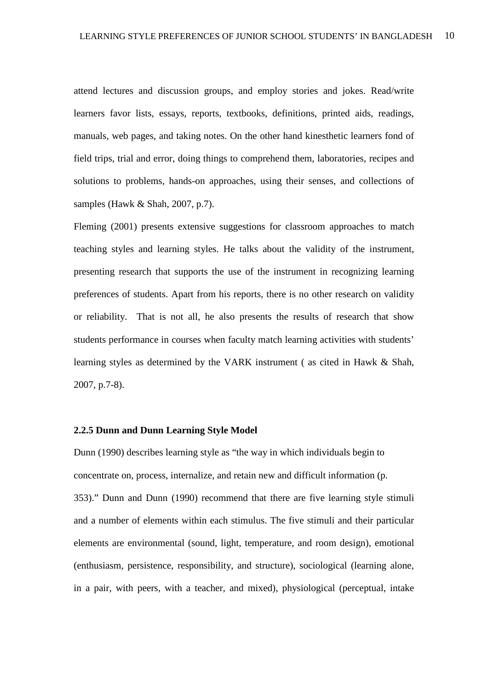attend lectures and discussion groups, and employ stories and jokes. Read/write learners favor lists, essays, reports, textbooks, definitions, printed aids, readings, manuals, web pages, and taking notes. On the other hand kinesthetic learners fond of field trips, trial and error, doing things to comprehend them, laboratories, recipes and solutions to problems, hands-on approaches, using their senses, and collections of samples (Hawk & Shah, 2007, p.7).

Fleming (2001) presents extensive suggestions for classroom approaches to match teaching styles and learning styles. He talks about the validity of the instrument, presenting research that supports the use of the instrument in recognizing learning preferences of students. Apart from his reports, there is no other research on validity or reliability. That is not all, he also presents the results of research that show students performance in courses when faculty match learning activities with students' learning styles as determined by the VARK instrument ( as cited in Hawk & Shah, 2007, p.7-8).

#### **2.2.5 Dunn and Dunn Learning Style Model**

Dunn (1990) describes learning style as "the way in which individuals begin to concentrate on, process, internalize, and retain new and difficult information (p. 353)." Dunn and Dunn (1990) recommend that there are five learning style stimuli and a number of elements within each stimulus. The five stimuli and their particular elements are environmental (sound, light, temperature, and room design), emotional (enthusiasm, persistence, responsibility, and structure), sociological (learning alone, in a pair, with peers, with a teacher, and mixed), physiological (perceptual, intake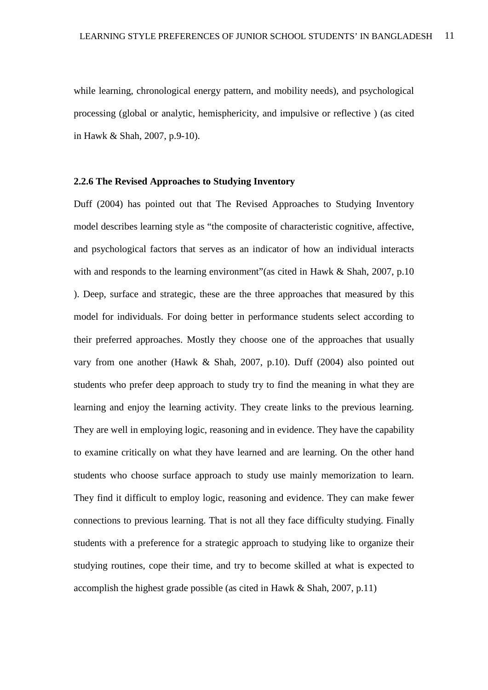while learning, chronological energy pattern, and mobility needs), and psychological processing (global or analytic, hemisphericity, and impulsive or reflective ) (as cited in Hawk & Shah, 2007, p.9-10).

#### **2.2.6 The Revised Approaches to Studying Inventory**

Duff (2004) has pointed out that The Revised Approaches to Studying Inventory model describes learning style as "the composite of characteristic cognitive, affective, and psychological factors that serves as an indicator of how an individual interacts with and responds to the learning environment" (as cited in Hawk & Shah, 2007, p.10) ). Deep, surface and strategic, these are the three approaches that measured by this model for individuals. For doing better in performance students select according to their preferred approaches. Mostly they choose one of the approaches that usually vary from one another (Hawk & Shah, 2007, p.10). Duff (2004) also pointed out students who prefer deep approach to study try to find the meaning in what they are learning and enjoy the learning activity. They create links to the previous learning. They are well in employing logic, reasoning and in evidence. They have the capability to examine critically on what they have learned and are learning. On the other hand students who choose surface approach to study use mainly memorization to learn. They find it difficult to employ logic, reasoning and evidence. They can make fewer connections to previous learning. That is not all they face difficulty studying. Finally students with a preference for a strategic approach to studying like to organize their studying routines, cope their time, and try to become skilled at what is expected to accomplish the highest grade possible (as cited in Hawk & Shah, 2007, p.11)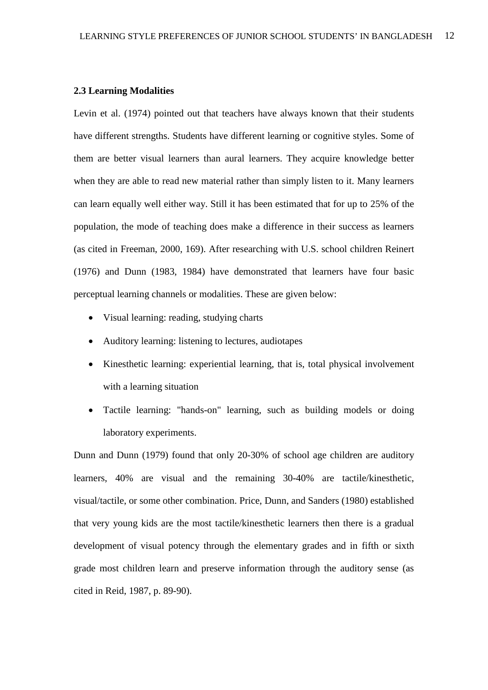#### **2.3 Learning Modalities**

Levin et al. (1974) pointed out that teachers have always known that their students have different strengths. Students have different learning or cognitive styles. Some of them are better visual learners than aural learners. They acquire knowledge better when they are able to read new material rather than simply listen to it. Many learners can learn equally well either way. Still it has been estimated that for up to 25% of the population, the mode of teaching does make a difference in their success as learners (as cited in Freeman, 2000, 169). After researching with U.S. school children Reinert (1976) and Dunn (1983, 1984) have demonstrated that learners have four basic perceptual learning channels or modalities. These are given below:

- Visual learning: reading, studying charts
- Auditory learning: listening to lectures, audiotapes
- Kinesthetic learning: experiential learning, that is, total physical involvement with a learning situation
- Tactile learning: "hands-on" learning, such as building models or doing laboratory experiments.

Dunn and Dunn (1979) found that only 20-30% of school age children are auditory learners, 40% are visual and the remaining 30-40% are tactile/kinesthetic, visual/tactile, or some other combination. Price, Dunn, and Sanders (1980) established that very young kids are the most tactile/kinesthetic learners then there is a gradual development of visual potency through the elementary grades and in fifth or sixth grade most children learn and preserve information through the auditory sense (as cited in Reid, 1987, p. 89-90).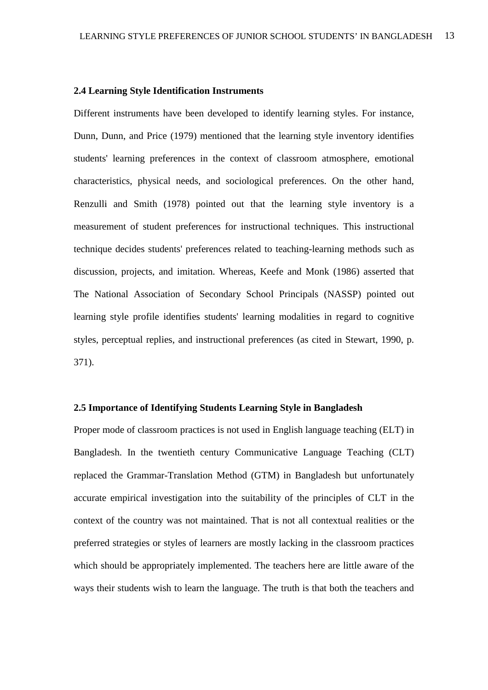#### **2.4 Learning Style Identification Instruments**

Different instruments have been developed to identify learning styles. For instance, Dunn, Dunn, and Price (1979) mentioned that the learning style inventory identifies students' learning preferences in the context of classroom atmosphere, emotional characteristics, physical needs, and sociological preferences. On the other hand, Renzulli and Smith (1978) pointed out that the learning style inventory is a measurement of student preferences for instructional techniques. This instructional technique decides students' preferences related to teaching-learning methods such as discussion, projects, and imitation. Whereas, Keefe and Monk (1986) asserted that The National Association of Secondary School Principals (NASSP) pointed out learning style profile identifies students' learning modalities in regard to cognitive styles, perceptual replies, and instructional preferences (as cited in Stewart, 1990, p. 371).

#### **2.5 Importance of Identifying Students Learning Style in Bangladesh**

Proper mode of classroom practices is not used in English language teaching (ELT) in Bangladesh. In the twentieth century Communicative Language Teaching (CLT) replaced the Grammar-Translation Method (GTM) in Bangladesh but unfortunately accurate empirical investigation into the suitability of the principles of CLT in the context of the country was not maintained. That is not all contextual realities or the preferred strategies or styles of learners are mostly lacking in the classroom practices which should be appropriately implemented. The teachers here are little aware of the ways their students wish to learn the language. The truth is that both the teachers and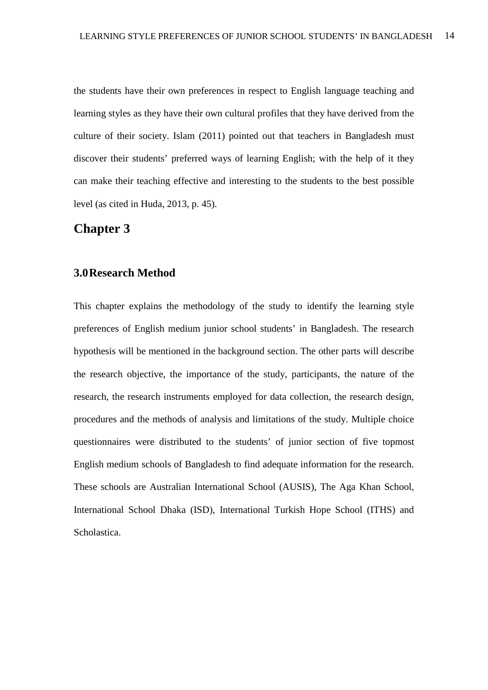the students have their own preferences in respect to English language teaching and learning styles as they have their own cultural profiles that they have derived from the culture of their society. Islam (2011) pointed out that teachers in Bangladesh must discover their students' preferred ways of learning English; with the help of it they can make their teaching effective and interesting to the students to the best possible level (as cited in Huda, 2013, p. 45).

## **Chapter 3**

### **3.0Research Method**

This chapter explains the methodology of the study to identify the learning style preferences of English medium junior school students' in Bangladesh. The research hypothesis will be mentioned in the background section. The other parts will describe the research objective, the importance of the study, participants, the nature of the research, the research instruments employed for data collection, the research design, procedures and the methods of analysis and limitations of the study. Multiple choice questionnaires were distributed to the students' of junior section of five topmost English medium schools of Bangladesh to find adequate information for the research. These schools are Australian International School (AUSIS), The Aga Khan School, International School Dhaka (ISD), International Turkish Hope School (ITHS) and Scholastica.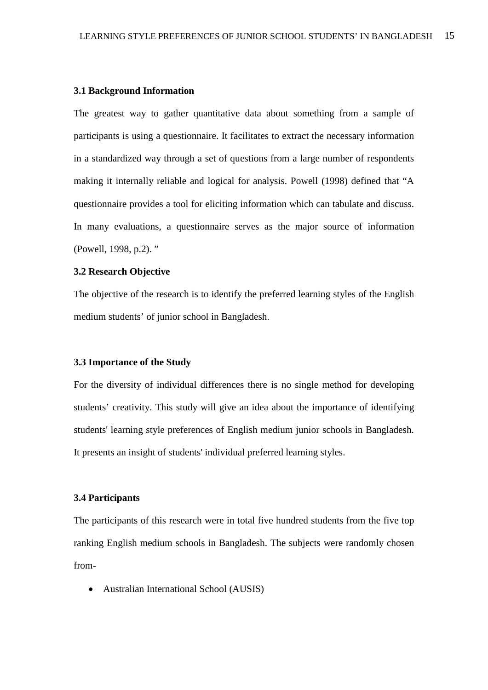#### **3.1 Background Information**

The greatest way to gather quantitative data about something from a sample of participants is using a questionnaire. It facilitates to extract the necessary information in a standardized way through a set of questions from a large number of respondents making it internally reliable and logical for analysis. Powell (1998) defined that "A questionnaire provides a tool for eliciting information which can tabulate and discuss. In many evaluations, a questionnaire serves as the major source of information (Powell, 1998, p.2). "

#### **3.2 Research Objective**

The objective of the research is to identify the preferred learning styles of the English medium students' of junior school in Bangladesh.

#### **3.3 Importance of the Study**

For the diversity of individual differences there is no single method for developing students' creativity. This study will give an idea about the importance of identifying students' learning style preferences of English medium junior schools in Bangladesh. It presents an insight of students' individual preferred learning styles.

#### **3.4 Participants**

The participants of this research were in total five hundred students from the five top ranking English medium schools in Bangladesh. The subjects were randomly chosen from-

• Australian International School (AUSIS)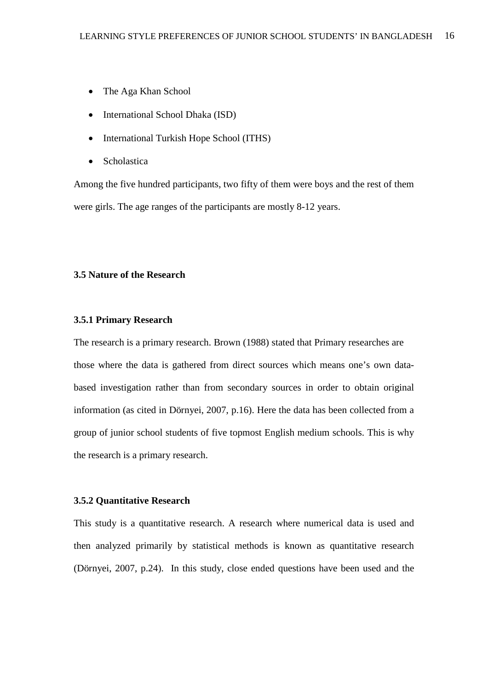- The Aga Khan School
- International School Dhaka (ISD)
- International Turkish Hope School (ITHS)
- **Scholastica**

Among the five hundred participants, two fifty of them were boys and the rest of them were girls. The age ranges of the participants are mostly 8-12 years.

#### **3.5 Nature of the Research**

#### **3.5.1 Primary Research**

The research is a primary research. Brown (1988) stated that Primary researches are those where the data is gathered from direct sources which means one's own databased investigation rather than from secondary sources in order to obtain original information (as cited in Dörnyei, 2007, p.16). Here the data has been collected from a group of junior school students of five topmost English medium schools. This is why the research is a primary research.

#### **3.5.2 Quantitative Research**

This study is a quantitative research. A research where numerical data is used and then analyzed primarily by statistical methods is known as quantitative research (Dörnyei, 2007, p.24). In this study, close ended questions have been used and the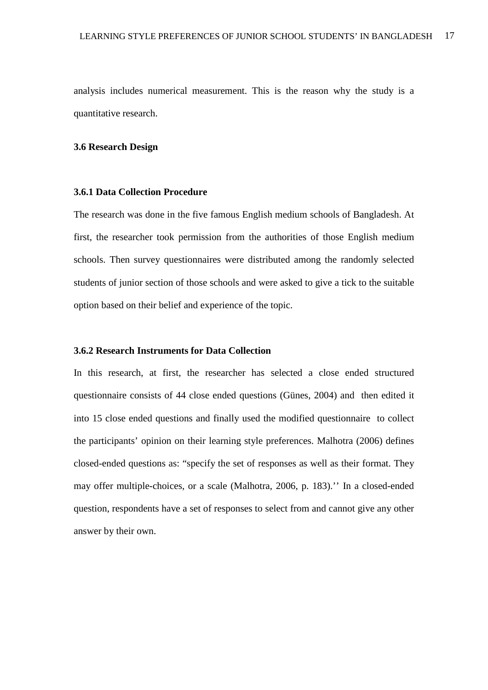analysis includes numerical measurement. This is the reason why the study is a quantitative research.

#### **3.6 Research Design**

#### **3.6.1 Data Collection Procedure**

The research was done in the five famous English medium schools of Bangladesh. At first, the researcher took permission from the authorities of those English medium schools. Then survey questionnaires were distributed among the randomly selected students of junior section of those schools and were asked to give a tick to the suitable option based on their belief and experience of the topic.

#### **3.6.2 Research Instruments for Data Collection**

In this research, at first, the researcher has selected a close ended structured questionnaire consists of 44 close ended questions (Günes, 2004) and then edited it into 15 close ended questions and finally used the modified questionnaire to collect the participants' opinion on their learning style preferences. Malhotra (2006) defines closed-ended questions as: "specify the set of responses as well as their format. They may offer multiple-choices, or a scale (Malhotra, 2006, p. 183).'' In a closed-ended question, respondents have a set of responses to select from and cannot give any other answer by their own.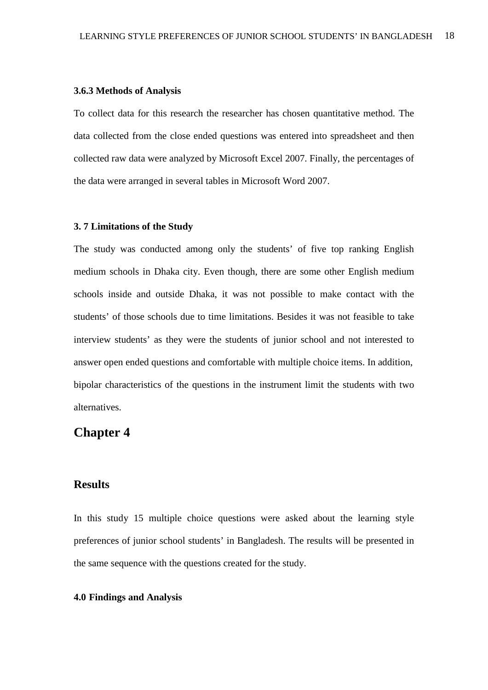#### **3.6.3 Methods of Analysis**

To collect data for this research the researcher has chosen quantitative method. The data collected from the close ended questions was entered into spreadsheet and then collected raw data were analyzed by Microsoft Excel 2007. Finally, the percentages of the data were arranged in several tables in Microsoft Word 2007.

#### **3. 7 Limitations of the Study**

The study was conducted among only the students' of five top ranking English medium schools in Dhaka city. Even though, there are some other English medium schools inside and outside Dhaka, it was not possible to make contact with the students' of those schools due to time limitations. Besides it was not feasible to take interview students' as they were the students of junior school and not interested to answer open ended questions and comfortable with multiple choice items. In addition, bipolar characteristics of the questions in the instrument limit the students with two alternatives.

# **Chapter 4**

### **Results**

In this study 15 multiple choice questions were asked about the learning style preferences of junior school students' in Bangladesh. The results will be presented in the same sequence with the questions created for the study.

#### **4.0 Findings and Analysis**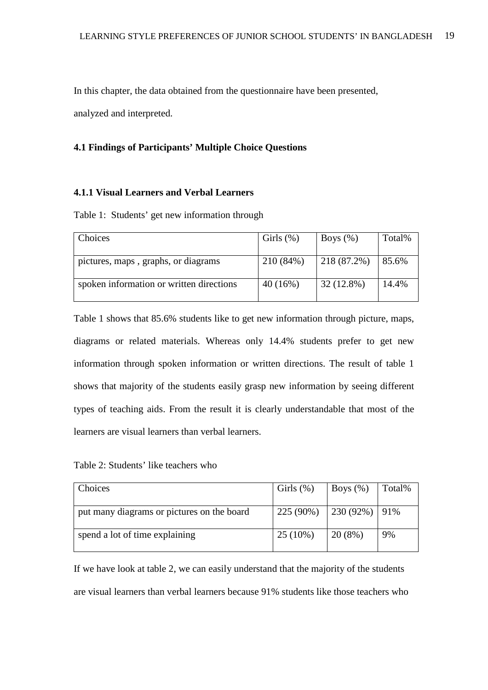In this chapter, the data obtained from the questionnaire have been presented,

analyzed and interpreted.

#### **4.1 Findings of Participants' Multiple Choice Questions**

#### **4.1.1 Visual Learners and Verbal Learners**

Table 1: Students' get new information through

| Choices                                  | Girls $(\%)$ | Boys $(\%)$  | Total% |
|------------------------------------------|--------------|--------------|--------|
| pictures, maps, graphs, or diagrams      | 210 (84%)    | 218 (87.2%)  | 85.6%  |
| spoken information or written directions | 40(16%)      | $32(12.8\%)$ | 14.4%  |

Table 1 shows that 85.6% students like to get new information through picture, maps, diagrams or related materials. Whereas only 14.4% students prefer to get new information through spoken information or written directions. The result of table 1 shows that majority of the students easily grasp new information by seeing different types of teaching aids. From the result it is clearly understandable that most of the learners are visual learners than verbal learners.

| Table 2: Students' like teachers who |  |
|--------------------------------------|--|
|--------------------------------------|--|

| Choices                                    | Girls $(\%)$                  | Boys $(\%)$ | Total% |
|--------------------------------------------|-------------------------------|-------------|--------|
| put many diagrams or pictures on the board | $225(90\%)$   230 (92%)   91% |             |        |
| spend a lot of time explaining             | $25(10\%)$                    | 20(8%)      | 9%     |
|                                            |                               |             |        |

If we have look at table 2, we can easily understand that the majority of the students are visual learners than verbal learners because 91% students like those teachers who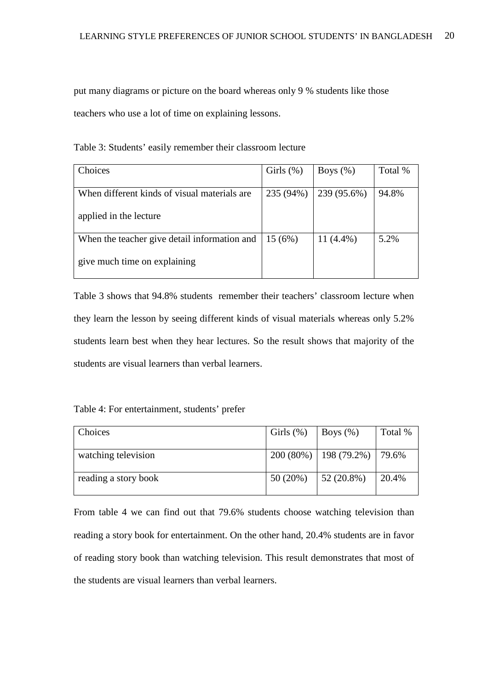put many diagrams or picture on the board whereas only 9 % students like those teachers who use a lot of time on explaining lessons.

| Choices                                      | Girls $(\%)$ | Boys $(\%)$  | Total % |
|----------------------------------------------|--------------|--------------|---------|
| When different kinds of visual materials are | 235 (94%)    | 239 (95.6%)  | 94.8%   |
| applied in the lecture                       |              |              |         |
| When the teacher give detail information and | 15(6%)       | 11 $(4.4\%)$ | 5.2%    |
| give much time on explaining                 |              |              |         |

Table 3: Students' easily remember their classroom lecture

Table 3 shows that 94.8% students remember their teachers' classroom lecture when they learn the lesson by seeing different kinds of visual materials whereas only 5.2% students learn best when they hear lectures. So the result shows that majority of the students are visual learners than verbal learners.

|  | Table 4: For entertainment, students' prefer |  |  |
|--|----------------------------------------------|--|--|
|--|----------------------------------------------|--|--|

| Choices              | Girls $(\%)$ | Boys $(\%)$              | Total % |
|----------------------|--------------|--------------------------|---------|
| watching television  |              | $200(80%)$   198 (79.2%) | 179.6%  |
| reading a story book | 50(20%)      | $52(20.8\%)$             | 20.4%   |

From table 4 we can find out that 79.6% students choose watching television than reading a story book for entertainment. On the other hand, 20.4% students are in favor of reading story book than watching television. This result demonstrates that most of the students are visual learners than verbal learners.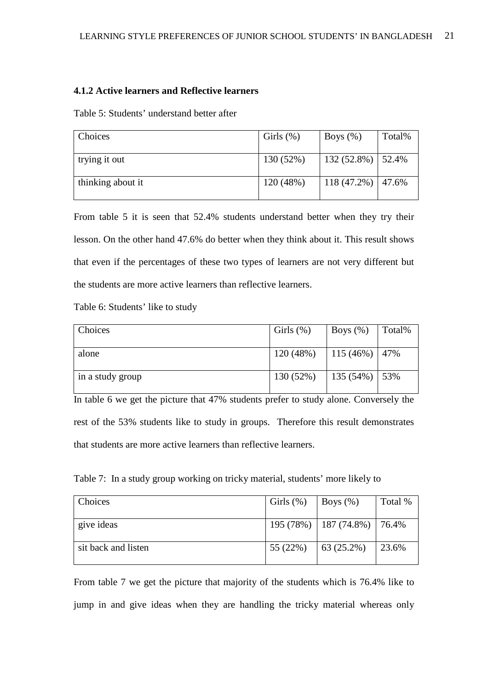#### **4.1.2 Active learners and Reflective learners**

Table 5: Students' understand better after

| Choices           | Girls $(\%)$ | Boys $(\%)$           | Total% |
|-------------------|--------------|-----------------------|--------|
|                   |              |                       |        |
| trying it out     | 130(52%)     | $132(52.8\%)$ 52.4%   |        |
| thinking about it | 120 (48%)    | $118(47.2\%)$   47.6% |        |

From table 5 it is seen that 52.4% students understand better when they try their lesson. On the other hand 47.6% do better when they think about it. This result shows that even if the percentages of these two types of learners are not very different but the students are more active learners than reflective learners.

Table 6: Students' like to study

| Choices          | Girls $(\%)$ | Boys $(\%)$        | Total% |
|------------------|--------------|--------------------|--------|
|                  |              |                    |        |
| alone            | 120(48%)     | 115 (46%)   47%    |        |
| in a study group | 130(52%)     | 135 $(54\%)$   53% |        |

In table 6 we get the picture that 47% students prefer to study alone. Conversely the rest of the 53% students like to study in groups. Therefore this result demonstrates that students are more active learners than reflective learners.

Table 7: In a study group working on tricky material, students' more likely to

| <b>Choices</b>      | Girls $(\%)$ | $\vert$ Boys $(\%)$             | Total % |
|---------------------|--------------|---------------------------------|---------|
| give ideas          |              | 195 (78%)   187 (74.8%)   76.4% |         |
| sit back and listen | 55 (22%)     | $\vert 63(25.2\%)$              | 23.6%   |

From table 7 we get the picture that majority of the students which is 76.4% like to jump in and give ideas when they are handling the tricky material whereas only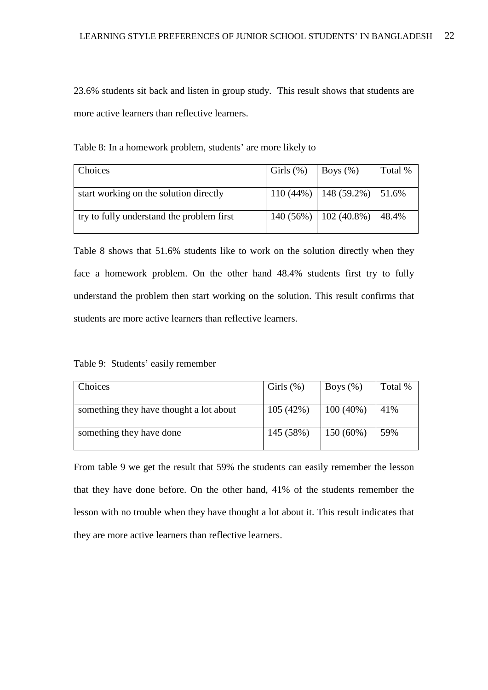23.6% students sit back and listen in group study. This result shows that students are more active learners than reflective learners.

| Choices                                   | Girls $(\%)$ | $\vert$ Boys $(\%)$               | Total % |
|-------------------------------------------|--------------|-----------------------------------|---------|
| start working on the solution directly    |              | $110(44\%)$   148 (59.2%)   51.6% |         |
| try to fully understand the problem first |              | $140(56\%)$   102 (40.8%)         | 48.4%   |

Table 8: In a homework problem, students' are more likely to

Table 8 shows that 51.6% students like to work on the solution directly when they face a homework problem. On the other hand 48.4% students first try to fully understand the problem then start working on the solution. This result confirms that students are more active learners than reflective learners.

Table 9: Students' easily remember

| Choices                                 | Girls $(\%)$ | Boys $(\%)$ | Total % |
|-----------------------------------------|--------------|-------------|---------|
| something they have thought a lot about | 105(42%)     | $100(40\%)$ | 41%     |
| something they have done                | 145 (58%)    | 150(60%)    | 59%     |

From table 9 we get the result that 59% the students can easily remember the lesson that they have done before. On the other hand, 41% of the students remember the lesson with no trouble when they have thought a lot about it. This result indicates that they are more active learners than reflective learners.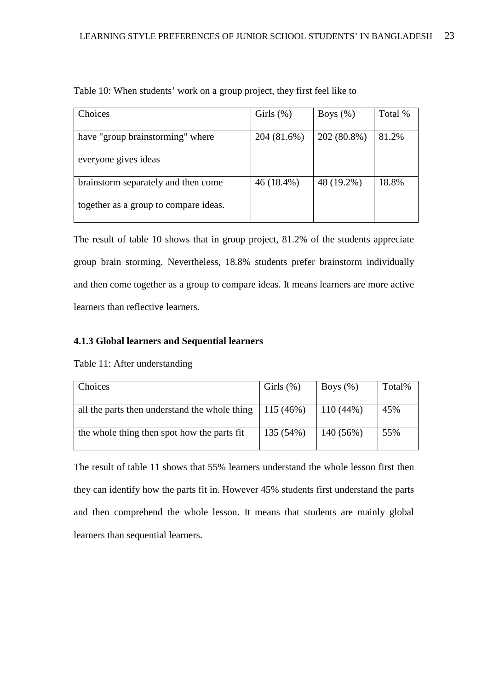| Choices                               | Girls $(\%)$ | Boys $(\%)$ | Total % |
|---------------------------------------|--------------|-------------|---------|
|                                       |              |             |         |
| have "group brainstorming" where      | 204 (81.6%)  | 202 (80.8%) | 81.2%   |
|                                       |              |             |         |
| everyone gives ideas                  |              |             |         |
|                                       |              |             |         |
| brainstorm separately and then come   | 46 (18.4%)   | 48 (19.2%)  | 18.8%   |
|                                       |              |             |         |
| together as a group to compare ideas. |              |             |         |
|                                       |              |             |         |

Table 10: When students' work on a group project, they first feel like to

The result of table 10 shows that in group project, 81.2% of the students appreciate group brain storming. Nevertheless, 18.8% students prefer brainstorm individually and then come together as a group to compare ideas. It means learners are more active learners than reflective learners.

#### **4.1.3 Global learners and Sequential learners**

| Choices                                       | Girls $(\%)$ | Boys $(\%)$ | Total% |
|-----------------------------------------------|--------------|-------------|--------|
| all the parts then understand the whole thing | 115 (46%)    | $110(44\%)$ | 45%    |
| the whole thing then spot how the parts fit   | 135 (54%)    | 140(56%)    | 55%    |

Table 11: After understanding

The result of table 11 shows that 55% learners understand the whole lesson first then they can identify how the parts fit in. However 45% students first understand the parts and then comprehend the whole lesson. It means that students are mainly global learners than sequential learners.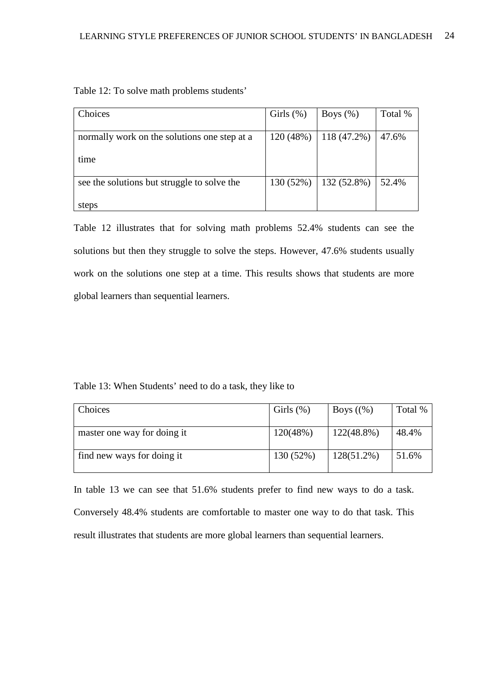| Choices                                      | Girls $(\%)$ | Boys $(\%)$ | Total % |
|----------------------------------------------|--------------|-------------|---------|
| normally work on the solutions one step at a | 120(48%)     | 118(47.2%)  | 47.6%   |
|                                              |              |             |         |
| time                                         |              |             |         |
|                                              |              |             |         |
| see the solutions but struggle to solve the  | 130 (52%)    | 132 (52.8%) | 52.4%   |
|                                              |              |             |         |
| steps                                        |              |             |         |

Table 12: To solve math problems students'

Table 12 illustrates that for solving math problems 52.4% students can see the solutions but then they struggle to solve the steps. However, 47.6% students usually work on the solutions one step at a time. This results shows that students are more global learners than sequential learners.

Table 13: When Students' need to do a task, they like to

| Choices                     | Girls $(\%)$ | Boys $(\%)$   | Total % |
|-----------------------------|--------------|---------------|---------|
|                             |              |               |         |
| master one way for doing it | 120(48%)     | $122(48.8\%)$ | 48.4%   |
| find new ways for doing it  | 130 (52%)    | $128(51.2\%)$ | 51.6%   |

In table 13 we can see that 51.6% students prefer to find new ways to do a task. Conversely 48.4% students are comfortable to master one way to do that task. This result illustrates that students are more global learners than sequential learners.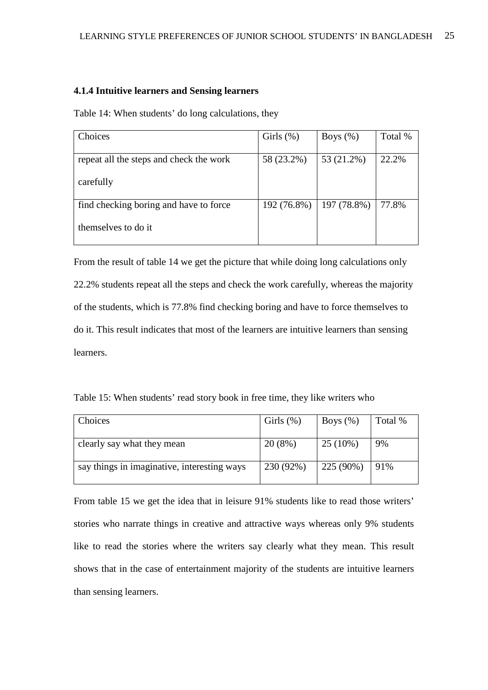#### **4.1.4 Intuitive learners and Sensing learners**

Table 14: When students' do long calculations, they

| Choices                                 | Girls $(\%)$ | Boys $(\%)$ | Total % |
|-----------------------------------------|--------------|-------------|---------|
|                                         |              |             |         |
| repeat all the steps and check the work | 58 (23.2%)   | 53 (21.2%)  | 22.2%   |
| carefully                               |              |             |         |
| find checking boring and have to force  | 192 (76.8%)  | 197 (78.8%) | 77.8%   |
| themselves to do it                     |              |             |         |

From the result of table 14 we get the picture that while doing long calculations only 22.2% students repeat all the steps and check the work carefully, whereas the majority of the students, which is 77.8% find checking boring and have to force themselves to do it. This result indicates that most of the learners are intuitive learners than sensing learners.

| Table 15: When students' read story book in free time, they like writers who |  |  |
|------------------------------------------------------------------------------|--|--|
|------------------------------------------------------------------------------|--|--|

| Choices                                     | Girls $(\%)$ | Boys $(\%)$ | Total % |
|---------------------------------------------|--------------|-------------|---------|
| clearly say what they mean                  | 20(8%)       | $25(10\%)$  | 9%      |
| say things in imaginative, interesting ways | 230 (92%)    | 225 (90%)   | 91%     |

From table 15 we get the idea that in leisure 91% students like to read those writers' stories who narrate things in creative and attractive ways whereas only 9% students like to read the stories where the writers say clearly what they mean. This result shows that in the case of entertainment majority of the students are intuitive learners than sensing learners.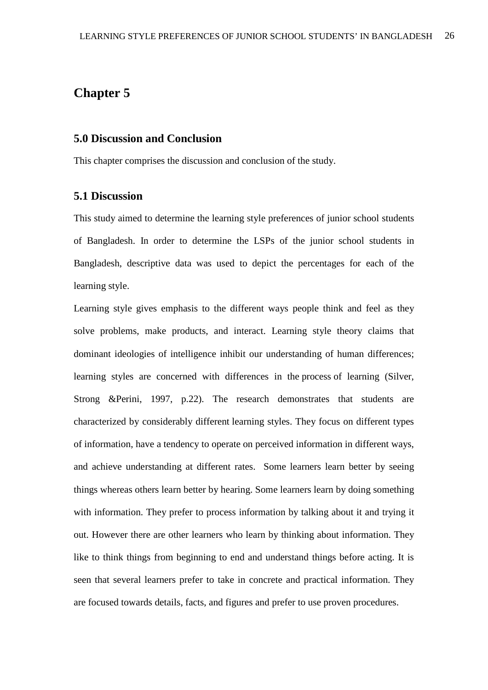# **Chapter 5**

#### **5.0 Discussion and Conclusion**

This chapter comprises the discussion and conclusion of the study.

#### **5.1 Discussion**

This study aimed to determine the learning style preferences of junior school students of Bangladesh. In order to determine the LSPs of the junior school students in Bangladesh, descriptive data was used to depict the percentages for each of the learning style.

Learning style gives emphasis to the different ways people think and feel as they solve problems, make products, and interact. Learning style theory claims that dominant ideologies of intelligence inhibit our understanding of human differences; learning styles are concerned with differences in the process of learning (Silver, Strong &Perini, 1997, p.22). The research demonstrates that students are characterized by considerably different learning styles. They focus on different types of information, have a tendency to operate on perceived information in different ways, and achieve understanding at different rates. Some learners learn better by seeing things whereas others learn better by hearing. Some learners learn by doing something with information. They prefer to process information by talking about it and trying it out. However there are other learners who learn by thinking about information. They like to think things from beginning to end and understand things before acting. It is seen that several learners prefer to take in concrete and practical information. They are focused towards details, facts, and figures and prefer to use proven procedures.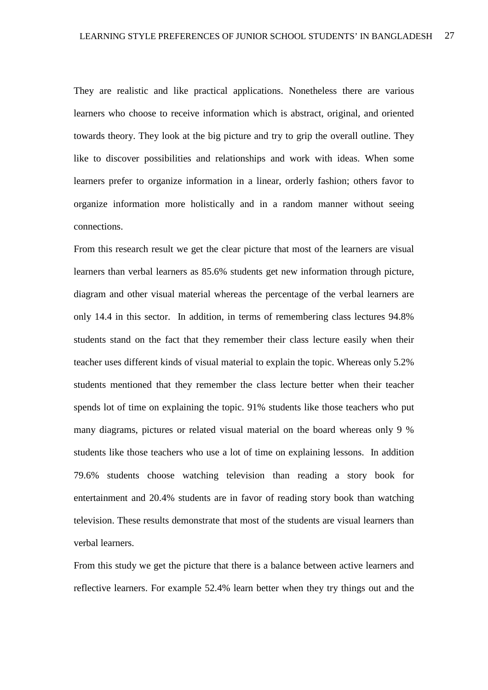They are realistic and like practical applications. Nonetheless there are various learners who choose to receive information which is abstract, original, and oriented towards theory. They look at the big picture and try to grip the overall outline. They like to discover possibilities and relationships and work with ideas. When some learners prefer to organize information in a linear, orderly fashion; others favor to organize information more holistically and in a random manner without seeing connections.

From this research result we get the clear picture that most of the learners are visual learners than verbal learners as 85.6% students get new information through picture, diagram and other visual material whereas the percentage of the verbal learners are only 14.4 in this sector. In addition, in terms of remembering class lectures 94.8% students stand on the fact that they remember their class lecture easily when their teacher uses different kinds of visual material to explain the topic. Whereas only 5.2% students mentioned that they remember the class lecture better when their teacher spends lot of time on explaining the topic. 91% students like those teachers who put many diagrams, pictures or related visual material on the board whereas only 9 % students like those teachers who use a lot of time on explaining lessons. In addition 79.6% students choose watching television than reading a story book for entertainment and 20.4% students are in favor of reading story book than watching television. These results demonstrate that most of the students are visual learners than verbal learners.

From this study we get the picture that there is a balance between active learners and reflective learners. For example 52.4% learn better when they try things out and the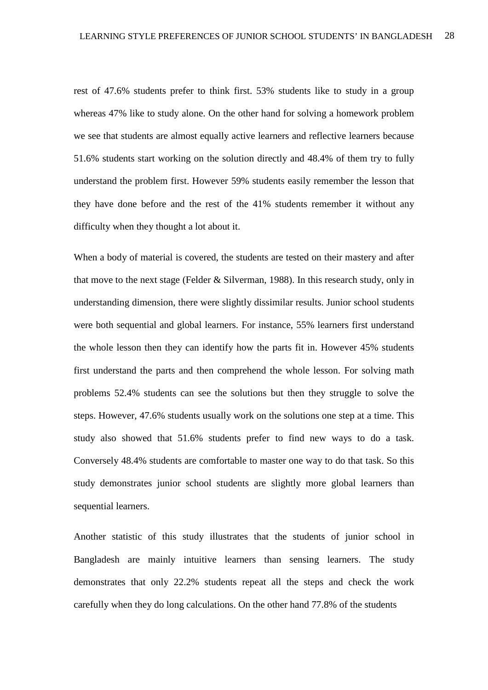rest of 47.6% students prefer to think first. 53% students like to study in a group whereas 47% like to study alone. On the other hand for solving a homework problem we see that students are almost equally active learners and reflective learners because 51.6% students start working on the solution directly and 48.4% of them try to fully understand the problem first. However 59% students easily remember the lesson that they have done before and the rest of the 41% students remember it without any difficulty when they thought a lot about it.

When a body of material is covered, the students are tested on their mastery and after that move to the next stage (Felder & Silverman, 1988). In this research study, only in understanding dimension, there were slightly dissimilar results. Junior school students were both sequential and global learners. For instance, 55% learners first understand the whole lesson then they can identify how the parts fit in. However 45% students first understand the parts and then comprehend the whole lesson. For solving math problems 52.4% students can see the solutions but then they struggle to solve the steps. However, 47.6% students usually work on the solutions one step at a time. This study also showed that 51.6% students prefer to find new ways to do a task. Conversely 48.4% students are comfortable to master one way to do that task. So this study demonstrates junior school students are slightly more global learners than sequential learners.

Another statistic of this study illustrates that the students of junior school in Bangladesh are mainly intuitive learners than sensing learners. The study demonstrates that only 22.2% students repeat all the steps and check the work carefully when they do long calculations. On the other hand 77.8% of the students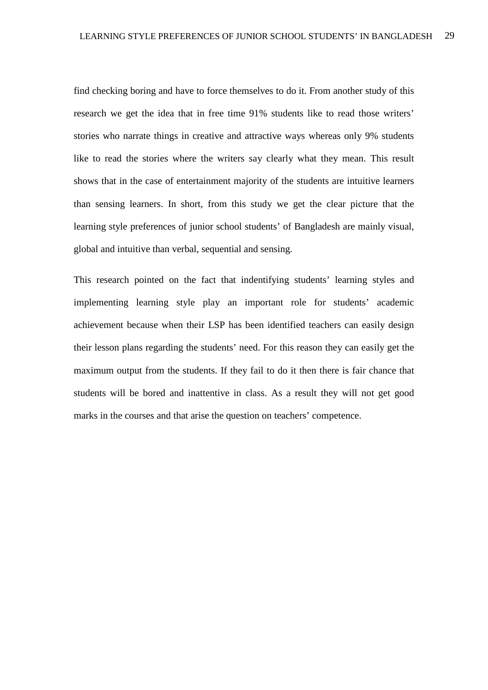find checking boring and have to force themselves to do it. From another study of this research we get the idea that in free time 91% students like to read those writers' stories who narrate things in creative and attractive ways whereas only 9% students like to read the stories where the writers say clearly what they mean. This result shows that in the case of entertainment majority of the students are intuitive learners than sensing learners. In short, from this study we get the clear picture that the learning style preferences of junior school students' of Bangladesh are mainly visual, global and intuitive than verbal, sequential and sensing.

This research pointed on the fact that indentifying students' learning styles and implementing learning style play an important role for students' academic achievement because when their LSP has been identified teachers can easily design their lesson plans regarding the students' need. For this reason they can easily get the maximum output from the students. If they fail to do it then there is fair chance that students will be bored and inattentive in class. As a result they will not get good marks in the courses and that arise the question on teachers' competence.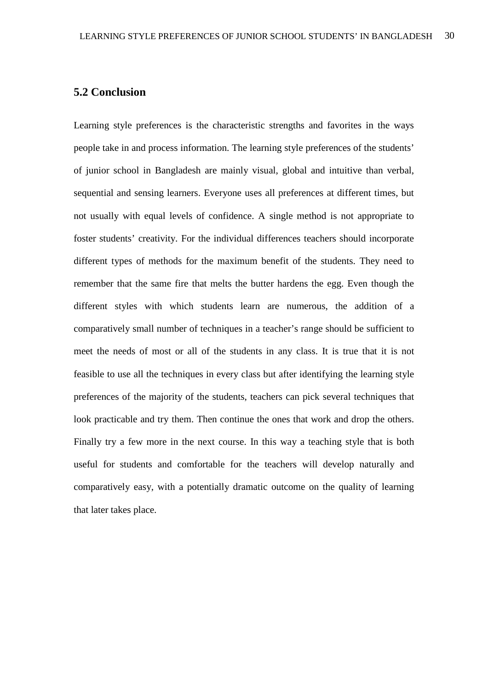### **5.2 Conclusion**

Learning style preferences is the characteristic strengths and favorites in the ways people take in and process information. The learning style preferences of the students' of junior school in Bangladesh are mainly visual, global and intuitive than verbal, sequential and sensing learners. Everyone uses all preferences at different times, but not usually with equal levels of confidence. A single method is not appropriate to foster students' creativity. For the individual differences teachers should incorporate different types of methods for the maximum benefit of the students. They need to remember that the same fire that melts the butter hardens the egg. Even though the different styles with which students learn are numerous, the addition of a comparatively small number of techniques in a teacher's range should be sufficient to meet the needs of most or all of the students in any class. It is true that it is not feasible to use all the techniques in every class but after identifying the learning style preferences of the majority of the students, teachers can pick several techniques that look practicable and try them. Then continue the ones that work and drop the others. Finally try a few more in the next course. In this way a teaching style that is both useful for students and comfortable for the teachers will develop naturally and comparatively easy, with a potentially dramatic outcome on the quality of learning that later takes place.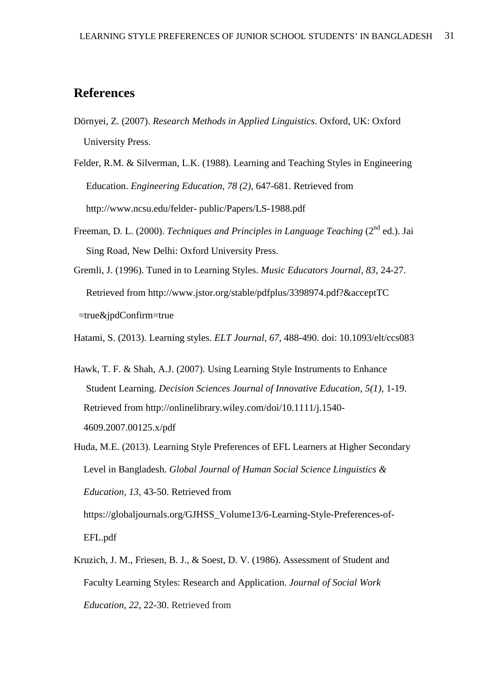# **References**

- Dörnyei, Z. (2007). *Research Methods in Applied Linguistics*. Oxford, UK: Oxford University Press.
- Felder, R.M. & Silverman, L.K. (1988). Learning and Teaching Styles in Engineering Education. *Engineering Education*, *78 (2),* 647-681. Retrieved from http://www.ncsu.edu/felder- public/Papers/LS-1988.pdf
- Freeman, D. L. (2000). *Techniques and Principles in Language Teaching* (2<sup>nd</sup> ed.). Jai Sing Road, New Delhi: Oxford University Press.
- Gremli, J. (1996). Tuned in to Learning Styles. *Music Educators Journal, 83,* 24-27. Retrieved from http://www.jstor.org/stable/pdfplus/3398974.pdf?&acceptTC =true&jpdConfirm=true

Hatami, S. (2013). Learning styles. *ELT Journal*, *67*, 488-490. doi: 10.1093/elt/ccs083

- Hawk, T. F. & Shah, A.J. (2007). Using Learning Style Instruments to Enhance Student Learning. *Decision Sciences Journal of Innovative Education, 5(1),* 1-19. Retrieved from http://onlinelibrary.wiley.com/doi/10.1111/j.1540- 4609.2007.00125.x/pdf
- Huda, M.E. (2013). Learning Style Preferences of EFL Learners at Higher Secondary Level in Bangladesh. *Global Journal of Human Social Science Linguistics & Education, 13,* 43-50. Retrieved from

 https://globaljournals.org/GJHSS\_Volume13/6-Learning-Style-Preferences-of- EFL.pdf

Kruzich, J. M., Friesen, B. J., & Soest, D. V. (1986). Assessment of Student and Faculty Learning Styles: Research and Application. *Journal of Social Work Education*, *22*, 22-30. Retrieved from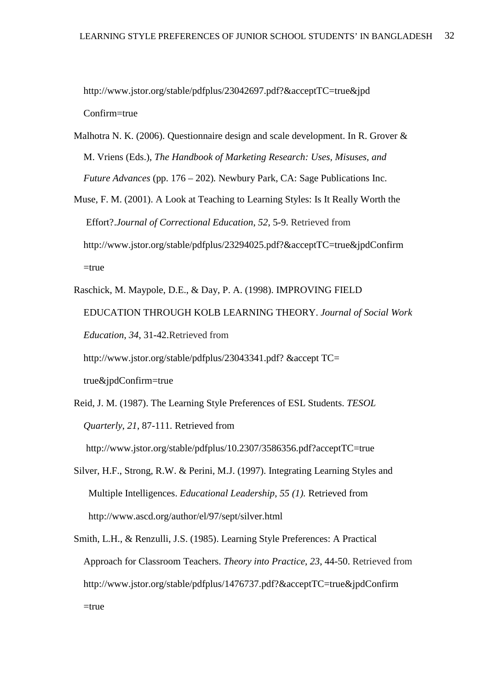http://www.jstor.org/stable/pdfplus/23042697.pdf?&acceptTC=true&jpd Confirm=true

- Malhotra N. K. (2006). Questionnaire design and scale development. In R. Grover & M. Vriens (Eds.), *The Handbook of Marketing Research: Uses, Misuses, and Future Advances* (pp. 176 – 202)*.* Newbury Park, CA: Sage Publications Inc.
- Muse, F. M. (2001). A Look at Teaching to Learning Styles: Is It Really Worth the Effort?.*Journal of Correctional Education*, *52*, 5-9. Retrieved from http://www.jstor.org/stable/pdfplus/23294025.pdf?&acceptTC=true&jpdConfirm  $=$ true
- Raschick, M. Maypole, D.E., & Day, P. A. (1998). IMPROVING FIELD EDUCATION THROUGH KOLB LEARNING THEORY. *Journal of Social Work Education*, *34*, 31-42.Retrieved from http://www.jstor.org/stable/pdfplus/23043341.pdf? &accept TC=

true&jpdConfirm=true

Reid, J. M. (1987). The Learning Style Preferences of ESL Students. *TESOL Quarterly*, *21*, 87-111. Retrieved from

http://www.jstor.org/stable/pdfplus/10.2307/3586356.pdf?acceptTC=true

- Silver, H.F., Strong, R.W. & Perini, M.J. (1997). Integrating Learning Styles and Multiple Intelligences. *Educational Leadership*, *55 (1).* Retrieved from http://www.ascd.org/author/el/97/sept/silver.html
- Smith, L.H., & Renzulli, J.S. (1985). Learning Style Preferences: A Practical Approach for Classroom Teachers. *Theory into Practice*, *23*, 44-50. Retrieved from http://www.jstor.org/stable/pdfplus/1476737.pdf?&acceptTC=true&jpdConfirm  $=$ true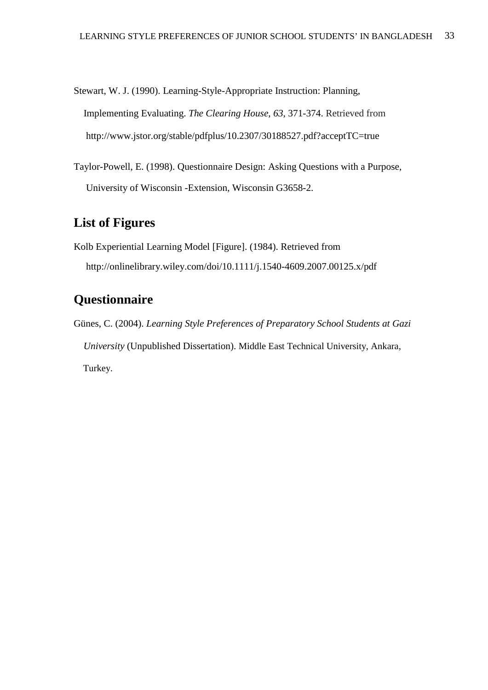Stewart, W. J. (1990). Learning-Style-Appropriate Instruction: Planning, Implementing Evaluating. *The Clearing House*, *63*, 371-374. Retrieved from http://www.jstor.org/stable/pdfplus/10.2307/30188527.pdf?acceptTC=true

Taylor-Powell, E. (1998). Questionnaire Design: Asking Questions with a Purpose, University of Wisconsin -Extension, Wisconsin G3658-2.

# **List of Figures**

Kolb Experiential Learning Model [Figure]. (1984). Retrieved from http://onlinelibrary.wiley.com/doi/10.1111/j.1540-4609.2007.00125.x/pdf

# **Questionnaire**

Günes, C. (2004). *Learning Style Preferences of Preparatory School Students at Gazi University* (Unpublished Dissertation). Middle East Technical University, Ankara, Turkey.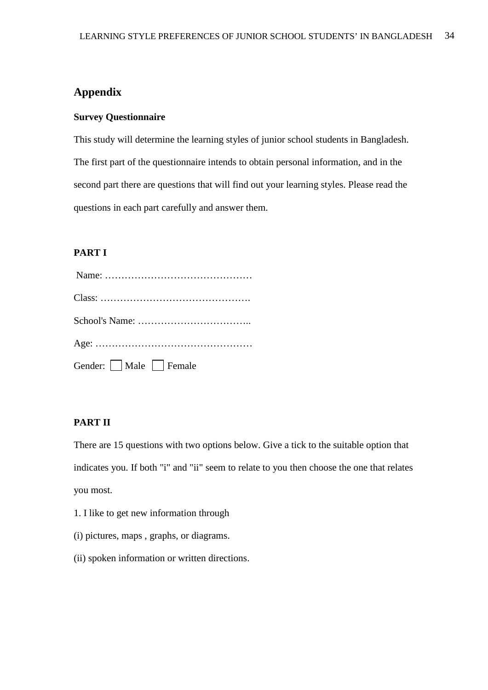### **Appendix**

#### **Survey Questionnaire**

This study will determine the learning styles of junior school students in Bangladesh. The first part of the questionnaire intends to obtain personal information, and in the second part there are questions that will find out your learning styles. Please read the questions in each part carefully and answer them.

#### **PART I**

| Gender: Male Female |
|---------------------|

#### **PART II**

There are 15 questions with two options below. Give a tick to the suitable option that indicates you. If both "i" and "ii" seem to relate to you then choose the one that relates you most.

- 1. I like to get new information through
- (i) pictures, maps , graphs, or diagrams.
- (ii) spoken information or written directions.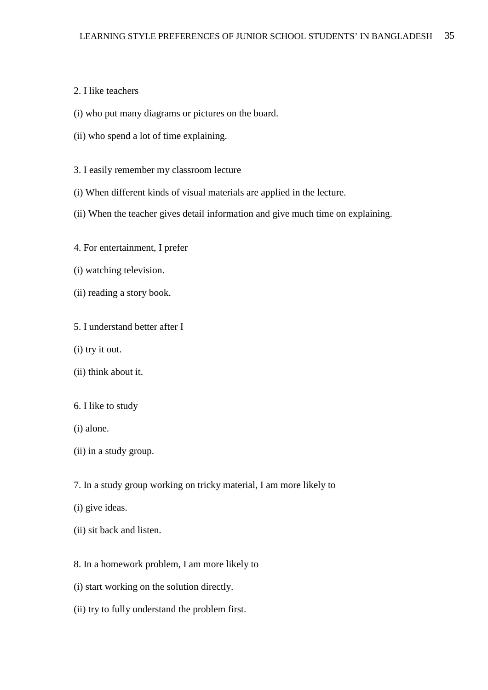#### 2. I like teachers

- (i) who put many diagrams or pictures on the board.
- (ii) who spend a lot of time explaining.
- 3. I easily remember my classroom lecture
- (i) When different kinds of visual materials are applied in the lecture.
- (ii) When the teacher gives detail information and give much time on explaining.
- 4. For entertainment, I prefer
- (i) watching television.
- (ii) reading a story book.
- 5. I understand better after I
- (i) try it out.
- (ii) think about it.
- 6. I like to study
- (i) alone.
- (ii) in a study group.
- 7. In a study group working on tricky material, I am more likely to
- (i) give ideas.
- (ii) sit back and listen.
- 8. In a homework problem, I am more likely to
- (i) start working on the solution directly.
- (ii) try to fully understand the problem first.